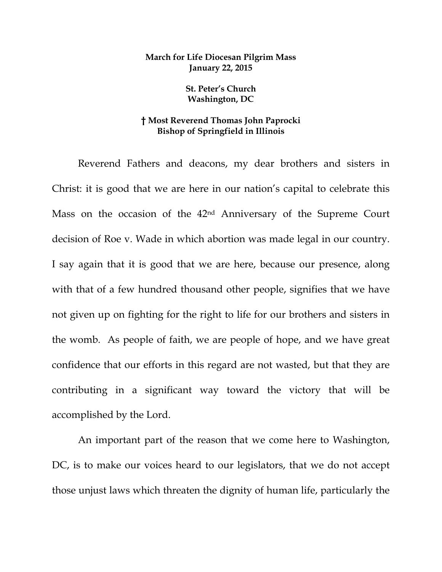## **March for Life Diocesan Pilgrim Mass January 22, 2015**

**St. Peter's Church Washington, DC** 

## **† Most Reverend Thomas John Paprocki Bishop of Springfield in Illinois**

Reverend Fathers and deacons, my dear brothers and sisters in Christ: it is good that we are here in our nation's capital to celebrate this Mass on the occasion of the 42nd Anniversary of the Supreme Court decision of Roe v. Wade in which abortion was made legal in our country. I say again that it is good that we are here, because our presence, along with that of a few hundred thousand other people, signifies that we have not given up on fighting for the right to life for our brothers and sisters in the womb. As people of faith, we are people of hope, and we have great confidence that our efforts in this regard are not wasted, but that they are contributing in a significant way toward the victory that will be accomplished by the Lord.

An important part of the reason that we come here to Washington, DC, is to make our voices heard to our legislators, that we do not accept those unjust laws which threaten the dignity of human life, particularly the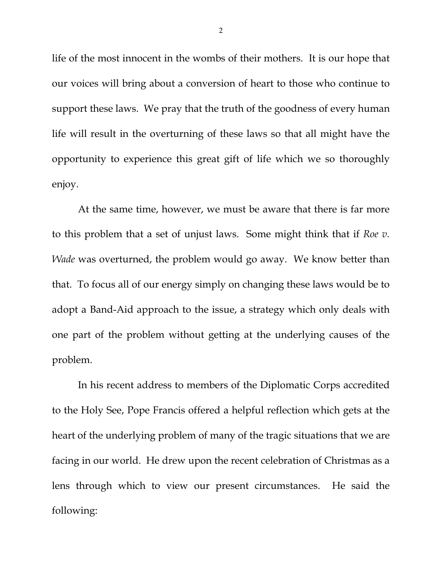life of the most innocent in the wombs of their mothers. It is our hope that our voices will bring about a conversion of heart to those who continue to support these laws. We pray that the truth of the goodness of every human life will result in the overturning of these laws so that all might have the opportunity to experience this great gift of life which we so thoroughly enjoy.

At the same time, however, we must be aware that there is far more to this problem that a set of unjust laws. Some might think that if *Roe v. Wade* was overturned, the problem would go away. We know better than that. To focus all of our energy simply on changing these laws would be to adopt a Band-Aid approach to the issue, a strategy which only deals with one part of the problem without getting at the underlying causes of the problem.

In his recent address to members of the Diplomatic Corps accredited to the Holy See, Pope Francis offered a helpful reflection which gets at the heart of the underlying problem of many of the tragic situations that we are facing in our world. He drew upon the recent celebration of Christmas as a lens through which to view our present circumstances. He said the following:

2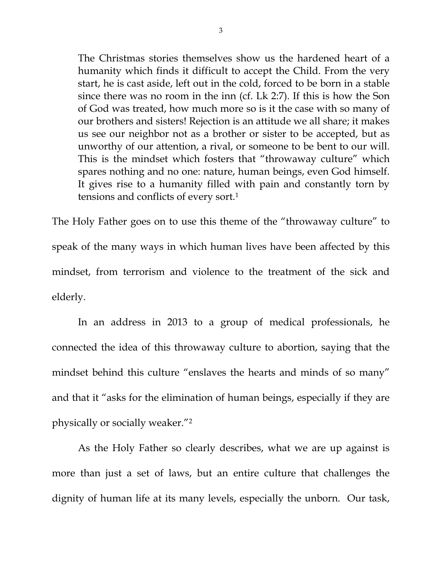The Christmas stories themselves show us the hardened heart of a humanity which finds it difficult to accept the Child. From the very start, he is cast aside, left out in the cold, forced to be born in a stable since there was no room in the inn (cf. Lk 2:7). If this is how the Son of God was treated, how much more so is it the case with so many of our brothers and sisters! Rejection is an attitude we all share; it makes us see our neighbor not as a brother or sister to be accepted, but as unworthy of our attention, a rival, or someone to be bent to our will. This is the mindset which fosters that "throwaway culture" which spares nothing and no one: nature, human beings, even God himself. It gives rise to a humanity filled with pain and constantly torn by tensions and conflicts of every sort.1

The Holy Father goes on to use this theme of the "throwaway culture" to speak of the many ways in which human lives have been affected by this mindset, from terrorism and violence to the treatment of the sick and elderly.

 In an address in 2013 to a group of medical professionals, he connected the idea of this throwaway culture to abortion, saying that the mindset behind this culture "enslaves the hearts and minds of so many" and that it "asks for the elimination of human beings, especially if they are physically or socially weaker."2

 As the Holy Father so clearly describes, what we are up against is more than just a set of laws, but an entire culture that challenges the dignity of human life at its many levels, especially the unborn. Our task,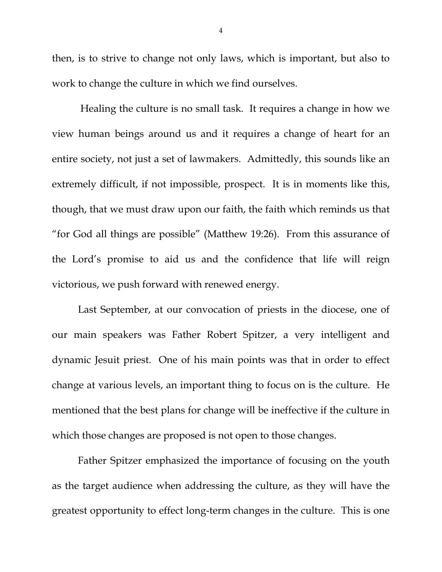then, is to strive to change not only laws, which is important, but also to work to change the culture in which we find ourselves.

 Healing the culture is no small task. It requires a change in how we view human beings around us and it requires a change of heart for an entire society, not just a set of lawmakers. Admittedly, this sounds like an extremely difficult, if not impossible, prospect. It is in moments like this, though, that we must draw upon our faith, the faith which reminds us that "for God all things are possible" (Matthew 19:26). From this assurance of the Lord's promise to aid us and the confidence that life will reign victorious, we push forward with renewed energy.

 Last September, at our convocation of priests in the diocese, one of our main speakers was Father Robert Spitzer, a very intelligent and dynamic Jesuit priest. One of his main points was that in order to effect change at various levels, an important thing to focus on is the culture. He mentioned that the best plans for change will be ineffective if the culture in which those changes are proposed is not open to those changes.

 Father Spitzer emphasized the importance of focusing on the youth as the target audience when addressing the culture, as they will have the greatest opportunity to effect long-term changes in the culture. This is one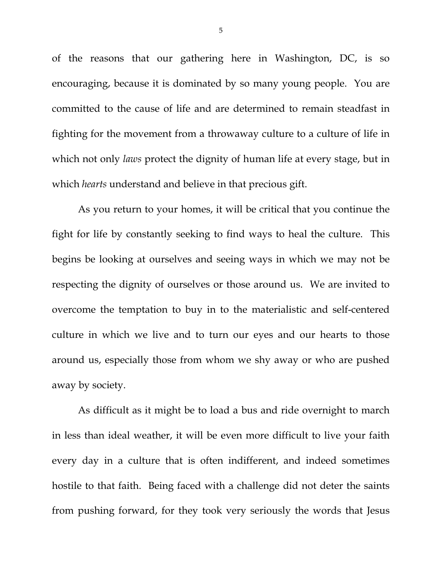of the reasons that our gathering here in Washington, DC, is so encouraging, because it is dominated by so many young people. You are committed to the cause of life and are determined to remain steadfast in fighting for the movement from a throwaway culture to a culture of life in which not only *laws* protect the dignity of human life at every stage, but in which *hearts* understand and believe in that precious gift.

 As you return to your homes, it will be critical that you continue the fight for life by constantly seeking to find ways to heal the culture. This begins be looking at ourselves and seeing ways in which we may not be respecting the dignity of ourselves or those around us. We are invited to overcome the temptation to buy in to the materialistic and self-centered culture in which we live and to turn our eyes and our hearts to those around us, especially those from whom we shy away or who are pushed away by society.

 As difficult as it might be to load a bus and ride overnight to march in less than ideal weather, it will be even more difficult to live your faith every day in a culture that is often indifferent, and indeed sometimes hostile to that faith. Being faced with a challenge did not deter the saints from pushing forward, for they took very seriously the words that Jesus

5